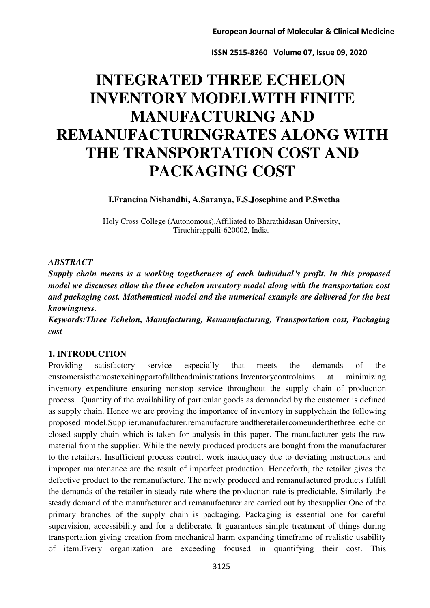# **INTEGRATED THREE ECHELON INVENTORY MODELWITH FINITE MANUFACTURING AND REMANUFACTURINGRATES ALONG WITH THE TRANSPORTATION COST AND PACKAGING COST**

**I.Francina Nishandhi, A.Saranya, F.S.Josephine and P.Swetha** 

Holy Cross College (Autonomous),Affiliated to Bharathidasan University, Tiruchirappalli-620002, India.

#### *ABSTRACT*

*Supply chain means is a working togetherness of each individual's profit. In this proposed model we discusses allow the three echelon inventory model along with the transportation cost and packaging cost. Mathematical model and the numerical example are delivered for the best knowingness.* 

*Keywords:Three Echelon, Manufacturing, Remanufacturing, Transportation cost, Packaging cost* 

## **1. INTRODUCTION**

Providing satisfactory service especially that meets the demands of the customersisthemostexcitingpartofalltheadministrations.Inventorycontrolaims at minimizing inventory expenditure ensuring nonstop service throughout the supply chain of production process. Quantity of the availability of particular goods as demanded by the customer is defined as supply chain. Hence we are proving the importance of inventory in supplychain the following proposed model.Supplier,manufacturer,remanufacturerandtheretailercomeunderthethree echelon closed supply chain which is taken for analysis in this paper. The manufacturer gets the raw material from the supplier. While the newly produced products are bought from the manufacturer to the retailers. Insufficient process control, work inadequacy due to deviating instructions and improper maintenance are the result of imperfect production. Henceforth, the retailer gives the defective product to the remanufacture. The newly produced and remanufactured products fulfill the demands of the retailer in steady rate where the production rate is predictable. Similarly the steady demand of the manufacturer and remanufacturer are carried out by thesupplier.One of the primary branches of the supply chain is packaging. Packaging is essential one for careful supervision, accessibility and for a deliberate. It guarantees simple treatment of things during transportation giving creation from mechanical harm expanding timeframe of realistic usability of item.Every organization are exceeding focused in quantifying their cost. This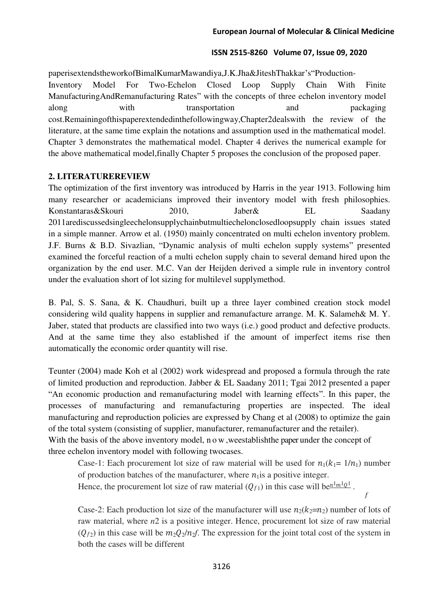paperisextendstheworkofBimalKumarMawandiya,J.K.Jha&JiteshThakkar's"Production-Inventory Model For Two-Echelon Closed Loop Supply Chain With Finite ManufacturingAndRemanufacturing Rates" with the concepts of three echelon inventory model along with transportation and packaging cost.Remainingofthispaperextendedinthefollowingway,Chapter2dealswith the review of the literature, at the same time explain the notations and assumption used in the mathematical model. Chapter 3 demonstrates the mathematical model. Chapter 4 derives the numerical example for the above mathematical model,finally Chapter 5 proposes the conclusion of the proposed paper.

## **2. LITERATUREREVIEW**

The optimization of the first inventory was introduced by Harris in the year 1913. Following him many researcher or academicians improved their inventory model with fresh philosophies. Konstantaras&Skouri 2010, Jaber& EL Saadany 2011arediscussedsingleechelonsupplychainbutmultiechelonclosedloopsupply chain issues stated in a simple manner. Arrow et al. (1950) mainly concentrated on multi echelon inventory problem. J.F. Burns & B.D. Sivazlian, "Dynamic analysis of multi echelon supply systems" presented examined the forceful reaction of a multi echelon supply chain to several demand hired upon the organization by the end user. M.C. Van der Heijden derived a simple rule in inventory control under the evaluation short of lot sizing for multilevel supplymethod.

B. Pal, S. S. Sana, & K. Chaudhuri, built up a three layer combined creation stock model considering wild quality happens in supplier and remanufacture arrange. M. K. Salameh& M. Y. Jaber, stated that products are classified into two ways (i.e.) good product and defective products. And at the same time they also established if the amount of imperfect items rise then automatically the economic order quantity will rise.

Teunter (2004) made Koh et al (2002) work widespread and proposed a formula through the rate of limited production and reproduction. Jabber & EL Saadany 2011; Tgai 2012 presented a paper "An economic production and remanufacturing model with learning effects". In this paper, the processes of manufacturing and remanufacturing properties are inspected. The ideal manufacturing and reproduction policies are expressed by Chang et al (2008) to optimize the gain of the total system (consisting of supplier, manufacturer, remanufacturer and the retailer). With the basis of the above inventory model, now, we establish the paper under the concept of three echelon inventory model with following twocases.

Case-1: Each procurement lot size of raw material will be used for  $n_1(k_1= 1/n_1)$  number of production batches of the manufacturer, where  $n_1$  is a positive integer.

Hence, the procurement lot size of raw material  $(Q_{f1})$  in this case will be  $n^{\frac{1}{m!}}Q^1$ .

Case-2: Each production lot size of the manufacturer will use  $n_2(k_2=n_2)$  number of lots of raw material, where *n*2 is a positive integer. Hence, procurement lot size of raw material  $(Q_{f2})$  in this case will be  $m_2Q_2/n_2f$ . The expression for the joint total cost of the system in both the cases will be different

f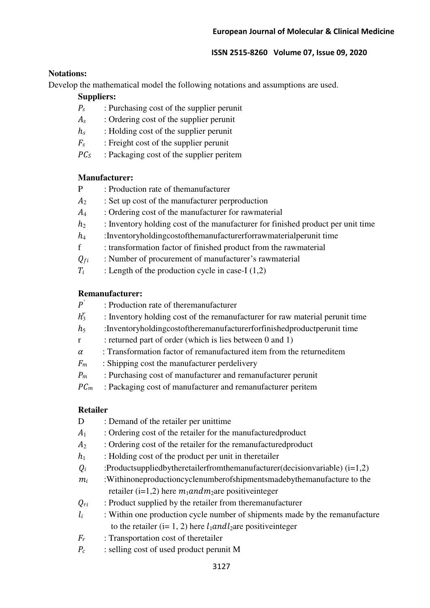## **Notations:**

Develop the mathematical model the following notations and assumptions are used.

## **Suppliers:**

- $P_s$ : Purchasing cost of the supplier perunit
- $A_s$  : Ordering cost of the supplier perunit<br> $h_s$  : Holding cost of the supplier perunit
- : Holding cost of the supplier perunit
- $F_s$  : Freight cost of the supplier perunit  $PC_s$  : Packaging cost of the supplier perit
- : Packaging cost of the supplier peritem

## **Manufacturer:**

- P : Production rate of themanufacturer
- $A_2$ : Set up cost of the manufacturer perproduction
- $A_4$ : Ordering cost of the manufacturer for rawmaterial
- $h_2$ : Inventory holding cost of the manufacturer for finished product per unit time
- $h_4$  :Inventoryholdingcostofthemanufacturerforrawmaterial perunit time<br>f : transformation factor of finished product from the rawmaterial
- : transformation factor of finished product from the rawmaterial
- $Q_{fi}$  : Number of procurement of manufacturer's rawmaterial
- $T_i$  : Length of the production cycle in case-I (1,2)

# **Remanufacturer:**

- $h_3^r$ : Inventory holding cost of the remanufacturer for raw material perunit time
- $h_5$ :Inventoryholdingcostoftheremanufacturerforfinishedproductperunit time
- r : returned part of order (which is lies between 0 and 1)
- $\alpha$ : Transformation factor of remanufactured item from the returneditem
- $F_m$ : Shipping cost the manufacturer perdelivery
- $P_m$ : Purchasing cost of manufacturer and remanufacturer perunit
- $PC<sub>m</sub>$ : Packaging cost of manufacturer and remanufacturer peritem

# **Retailer**

- D : Demand of the retailer per unittime
- $A_1$ : Ordering cost of the retailer for the manufactured product
- $A_2$ : Ordering cost of the retailer for the remanufactured product
- $h_1$  : Holding cost of the product per unit in theretailer
- $Q_i$ : Productsuppliedbytheretailerfromthemanufacturer(decisionvariable) (i=1,2)
- $m_i$ : Withinoneproductioncyclenumberofshipmentsmadebythemanufacture to the retailer (i=1,2) here  $m_1$  and  $m_2$  are positive integer

 $Q_{ri}$ : Product supplied by the retailer from theremanufacturer

- $l_i$ : Within one production cycle number of shipments made by the remanufacture to the retailer (i= 1, 2) here  $l_1$  and  $l_2$  are positive integer
- $F_r$ : Transportation cost of theretailer
- $P_c$  : selling cost of used product perunit M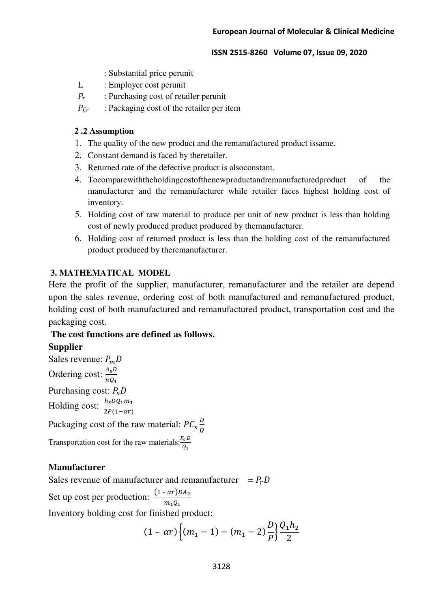- : Substantial price perunit
- L : Employer cost perunit
- $P_r$  : Purchasing cost of retailer perunit<br>  $P_{cr}$  : Packaging cost of the retailer per i
- : Packaging cost of the retailer per item

## **2 .2 Assumption**

- 1. The quality of the new product and the remanufactured product issame.
- 2. Constant demand is faced by theretailer.
- 3. Returned rate of the defective product is alsoconstant.
- 4. Tocomparewiththeholdingcostofthenewproductandremanufacturedproduct of the manufacturer and the remanufacturer while retailer faces highest holding cost of inventory.
- 5. Holding cost of raw material to produce per unit of new product is less than holding cost of newly produced product produced by themanufacturer.
- 6. Holding cost of returned product is less than the holding cost of the remanufactured product produced by theremanufacturer.

## **3. MATHEMATICAL MODEL**

Here the profit of the supplier, manufacturer, remanufacturer and the retailer are depend upon the sales revenue, ordering cost of both manufactured and remanufactured product, holding cost of both manufactured and remanufactured product, transportation cost and the packaging cost.

## **The cost functions are defined as follows.**

## **Supplier**

Sales revenue:  $P_mD$ Ordering cost:  $\frac{A_s D}{rQ}$  $nQ_1$ Purchasing cost:  $P_sD$ Holding cost:  $\frac{h_s D Q_1 m_1}{2P(1-\alpha r)}$ Packaging cost of the raw material:  $PC_s \frac{D}{Q}$ Q Transportation cost for the raw materials: $\frac{r_s}{\rho}$  $Q_{1}$ 

## **Manufacturer**

Sales revenue of manufacturer and remanufacturer  $= P<sub>r</sub> D$ Set up cost per production:  $\frac{(1 - \alpha r)DA_2}{m}$  $m_1Q_1$ Inventory holding cost for finished product:

$$
(1 - \alpha r) \left\{ (m_1 - 1) - (m_1 - 2) \frac{D}{P} \right\} \frac{Q_1 h_2}{2}
$$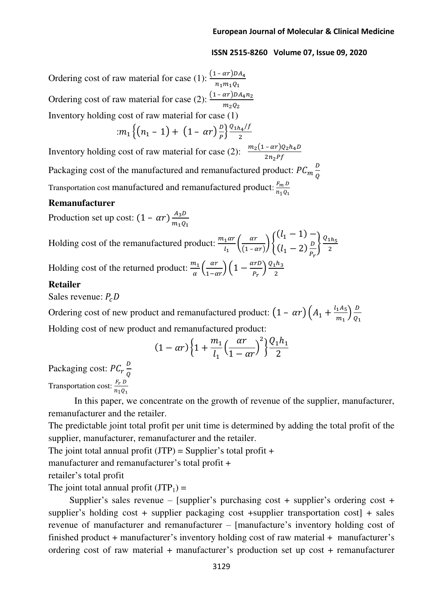2

i,

Ordering cost of raw material for case (1):  $\frac{(1 - ar)DA_4}{r}$  $n_1m_1Q_1$ Ordering cost of raw material for case (2):  $\frac{(1 - ar)DA_4n_2}{m}$  $m_2Q_2$ i<br>L Inventory holding cost of raw material for case (1)

$$
m_1\left\{(n_1-1)+(1-\alpha r)\frac{D}{p}\right\}\frac{Q_{1}n_4/f}{2}
$$

Inventory holding cost of raw material for case (2):  $\frac{m_2(1 - \alpha r)Q_2h_4D}{2r R}$  $2n_2$ PJ

Packaging cost of the manufactured and remanufactured product:  $PC_m \frac{D}{Q}$ Ų Transportation cost manufactured and remanufactured product:  $\frac{F_m D}{n_A Q}$  $n_1Q_1$ 

#### **Remanufacturer**

Production set up cost:  $(1 - \alpha r) \frac{A_3 D}{m_1 \alpha}$  $m_1Q_1$ 

Holding cost of the remanufactured product:  $\frac{m_1 a r}{l}$  $\frac{1}{l_1}$   $\frac{ar}{l_1 - a}$  $\frac{ar}{(1-ar)}\bigg\{\frac{(l_1-1)-l_1}{(l_1-2)\frac{D}{p}}\bigg\}$  $(l_1 - 2) \frac{D}{P_1}$  $r<sub>r</sub>$  $\left\{\frac{Q_{1h_5}}{2}\right\}$ 2 Holding cost of the returned product:  $\frac{m_1}{\alpha} \left( \frac{\alpha r}{1 - \alpha r} \right) \left( 1 - \frac{\alpha r D}{P_r} \right) \frac{Q_1 n_3}{2}$ 

#### **Retailer**

Sales revenue:  $P_cD$ 

Ordering cost of new product and remanufactured product:  $\left(1 - \alpha r\right) \left(A_1 + \frac{l_1 A_5}{m_1}\right)$  $\frac{1A_5}{m_1}$  $\frac{D}{Q_1}$  $Q_1$ Holding cost of new product and remanufactured product:

$$
(1 - \alpha r) \left\{ 1 + \frac{m_1}{l_1} \left( \frac{\alpha r}{1 - \alpha r} \right)^2 \right\} \frac{Q_1 h_1}{2}
$$

Packaging cost:  $PC_r\frac{D}{Q}$ Q Transportation cost:  $\frac{F_r D}{n \cdot 0}$  $n_1Q_1$ 

 In this paper, we concentrate on the growth of revenue of the supplier, manufacturer, remanufacturer and the retailer.

The predictable joint total profit per unit time is determined by adding the total profit of the supplier, manufacturer, remanufacturer and the retailer.

The joint total annual profit  $(JTP)$  = Supplier's total profit +

manufacturer and remanufacturer's total profit +

retailer's total profit

The joint total annual profit  $(JTP_1)$  =

Supplier's sales revenue – [supplier's purchasing cost + supplier's ordering cost + supplier's holding cost + supplier packaging cost +supplier transportation cost] + sales revenue of manufacturer and remanufacturer – [manufacture's inventory holding cost of finished product + manufacturer's inventory holding cost of raw material + manufacturer's ordering cost of raw material + manufacturer's production set up cost + remanufacturer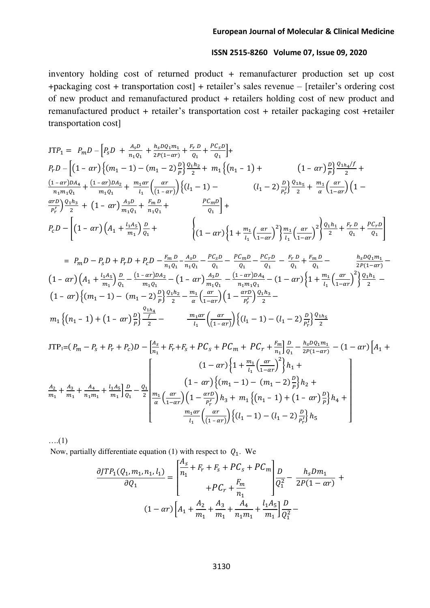inventory holding cost of returned product + remanufacturer production set up cost +packaging cost + transportation cost] + retailer's sales revenue – [retailer's ordering cost of new product and remanufactured product + retailers holding cost of new product and remanufactured product + retailer's transportation cost + retailer packaging cost +retailer transportation cost]

$$
JTP_1 = P_m D - [P_s D + \frac{A_s D}{n_1 Q_1} + \frac{h_s D Q_1 m_1}{2P(1 - \alpha r)} + \frac{F_r D}{Q_1} + \frac{P C_s D}{Q_1}] +
$$
  
\n
$$
P_r D - [(1 - \alpha r) \{ (m_1 - 1) - (m_1 - 2) \frac{D}{p} \} \frac{Q_1 h_2}{2} + m_1 \{ (n_1 - 1) + (1 - \alpha r) \frac{D}{p} \} \frac{Q_1 h_4 f}{2} + \frac{(1 - \alpha r) D A_4}{n_1 m_1 Q_1} + \frac{(1 - \alpha r) D A_2}{m_1 Q_1} + \frac{m_1 \alpha r}{l_1} \left( \frac{\alpha r}{(1 - \alpha r)} \right) \{ (l_1 - 1) - (l_1 - 2) \frac{D}{p'_r} \} \frac{Q_1 h_5}{2} + \frac{m_1}{\alpha} \left( \frac{\alpha r}{1 - \alpha r} \right) (1 - \frac{\alpha r D}{p'_r}) \frac{Q_1 h_3}{2} + (1 - \alpha r) \frac{A_3 D}{m_1 Q_1} + \frac{F_m D}{n_1 Q_1} + \frac{P C_m D}{Q_1} +
$$
  
\n
$$
P_c D - [(1 - \alpha r) (A_1 + \frac{l_1 A_5}{m_1}) \frac{D}{Q_1} + \left( (1 - \alpha r) \left( 1 + \frac{m_1}{l_1} \left( \frac{\alpha r}{1 - \alpha r} \right)^2 \right) \frac{m_1}{l_1} \left( \frac{\alpha r}{1 - \alpha r} \right)^2 \frac{Q_1 h_1}{2} + \frac{F_r D}{Q_1} + \frac{P C_r D}{Q_1} ]
$$

$$
= P_m D - P_S D + P_r D + P_C D - \frac{F_m D}{n_1 Q_1} - \frac{A_S D}{n_1 Q_1} - \frac{P C_m D}{Q_1} - \frac{P C_r D}{Q_1} - \frac{F_r D}{Q_1} + \frac{F_m D}{Q_1} - \frac{h_S D Q_1 m_1}{2P(1 - \alpha r)}
$$
  
\n
$$
(1 - \alpha r) \left( A_1 + \frac{l_1 A_S}{m_1} \right) \frac{D}{Q_1} - \frac{(1 - \alpha r)D A_2}{m_1 Q_1} - (1 - \alpha r) \frac{A_3 D}{m_1 Q_1} - \frac{(1 - \alpha r)D A_4}{n_1 m_1 Q_1} - (1 - \alpha r) \left\{ 1 + \frac{m_1}{l_1} \left( \frac{\alpha r}{1 - \alpha r} \right)^2 \right\} \frac{Q_1 h_1}{2} - (1 - \alpha r) \left\{ (m_1 - 1) - (m_1 - 2) \frac{D}{p} \right\} \frac{Q_1 h_2}{2} - \frac{m_1}{\alpha} \left( \frac{\alpha r}{1 - \alpha r} \right) \left( 1 - \frac{\alpha r D}{P_r} \right) \frac{Q_1 h_3}{2} - \frac{m_1 \alpha r}{l_1} \left( \frac{\alpha r}{(1 - \alpha r)} \right) \left\{ (l_1 - 1) - (l_1 - 2) \frac{D}{P_r} \right\} \frac{Q_1 h_5}{2}
$$

$$
JTP_{1} = (P_{m} - P_{s} + P_{r} + P_{c})D - \left[\frac{A_{s}}{n_{1}} + F_{r} + F_{s} + PC_{s} + PC_{m} + PC_{r} + \frac{F_{m}}{n_{1}}\right]\frac{D}{Q_{1}} - \frac{h_{s}DQ_{1}m_{1}}{2P(1 - \alpha r)} - (1 - \alpha r)\left[A_{1} + \frac{F_{m}}{n_{1}}\right] + \frac{F_{m}}{n_{1}} + \frac{A_{3}}{m_{1}} + \frac{A_{4}}{n_{1}m_{1}} + \frac{h_{4}A_{5}}{m_{1}}\frac{D}{Q_{1}} - \frac{Q_{1}}{2}\left[\frac{m_{1}}{\alpha}\left(\frac{\alpha r}{1 - \alpha r}\right)\left(1 - \frac{\alpha r}{P_{r}}\right)h_{3} + m_{1}\left\{(n_{1} - 1) - (n_{1} - 2)\frac{D}{P}\right\}h_{2} + \frac{m_{1}\alpha r}{2}\left(\frac{\alpha r}{1 - \alpha r}\right)\left(1 - \frac{\alpha r}{P_{r}}\right)h_{3} + m_{1}\left\{(n_{1} - 1) + (1 - \alpha r)\frac{D}{P}\right\}h_{4} + \frac{m_{1}\alpha r}{2}\left(\frac{\alpha r}{1 - \alpha r}\right)\left\{(n_{1} - 1) - (n_{1} - 2)\frac{D}{P_{r}}\right\}h_{5}
$$

….(1)

Now, partially differentiate equation (1) with respect to  $Q_1$ . We

$$
\frac{\partial JTP_1(Q_1, m_1, n_1, l_1)}{\partial Q_1} = \begin{bmatrix} \frac{A_s}{n_1} + F_r + F_s + PC_s + PC_m \\ + PC_r + \frac{F_m}{n_1} \end{bmatrix} \frac{D}{Q_1^2} - \frac{h_s D m_1}{2P(1 - \alpha r)} + (1 - \alpha r) \left[A_1 + \frac{A_2}{m_1} + \frac{A_3}{m_1} + \frac{A_4}{n_1 m_1} + \frac{l_1 A_5}{m_1} \right] \frac{D}{Q_1^2} -
$$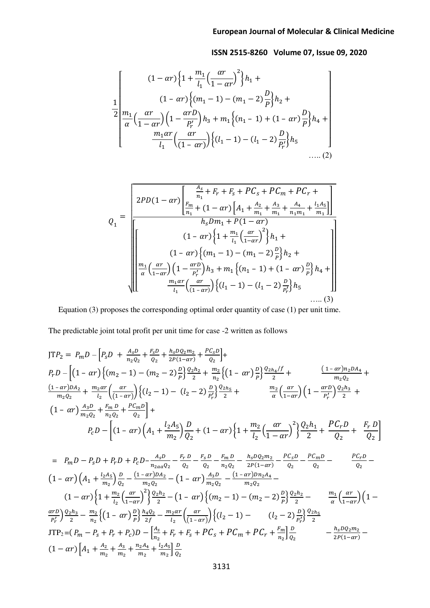$$
\frac{1}{2} \left[ \frac{(1 - \alpha r) \left\{ 1 + \frac{m_1}{l_1} \left( \frac{\alpha r}{1 - \alpha r} \right)^2 \right\} h_1 + \frac{(1 - \alpha r) \left\{ (m_1 - 1) - (m_1 - 2) \frac{D}{P} \right\} h_2 + \frac{m_1}{\alpha} \left( \frac{\alpha r}{1 - \alpha r} \right) \left( 1 - \frac{\alpha r D}{P'_r} \right) h_3 + m_1 \left\{ (n_1 - 1) + (1 - \alpha r) \frac{D}{P} \right\} h_4 + \frac{m_1 \alpha r}{l_1} \left( \frac{\alpha r}{(1 - \alpha r)} \right) \left\{ (l_1 - 1) - (l_1 - 2) \frac{D}{P'_r} \right\} h_5 + \dots (2)
$$

$$
Q_{1} = \frac{\begin{bmatrix} 2PD(1 - \alpha r) \frac{A_{s}}{n_{1}} + F_{r} + F_{s} + PC_{s} + PC_{m} + PC_{r} + \frac{B_{m}}{n_{1}} + (1 - \alpha r) \left[ A_{1} + \frac{A_{2}}{m_{1}} + \frac{A_{3}}{m_{1}} + \frac{A_{4}}{n_{1}m_{1}} + \frac{l_{1}A_{5}}{m_{1}} \right] \end{bmatrix}}{h_{s}Dm_{1} + P(1 - \alpha r)}
$$
\n
$$
(1 - \alpha r) \left\{ 1 + \frac{m_{1}}{l_{1}} \left( \frac{\alpha r}{1 - \alpha r} \right)^{2} \right\} h_{1} + \frac{(1 - \alpha r) \left\{ (m_{1} - 1) - (m_{1} - 2) \frac{D}{P} \right\} h_{2} + \frac{m_{1}}{a} \left( \frac{\alpha r}{1 - \alpha r} \right) \left( 1 - \frac{\alpha r D}{P_{r}'} \right) h_{3} + m_{1} \left\{ (n_{1} - 1) + (1 - \alpha r) \frac{D}{P} \right\} h_{4} + \frac{m_{1} \alpha r}{l_{1}} \left( \frac{\alpha r}{(1 - \alpha r)} \right) \left\{ (l_{1} - 1) - (l_{1} - 2) \frac{D}{P_{r}'} \right\} h_{5} \dots (3)
$$

Equation (3) proposes the corresponding optimal order quantity of case (1) per unit time.

The predictable joint total profit per unit time for case -2 written as follows

$$
JTP_2 = P_mD - [P_sD + \frac{A_sD}{n_2Q_2} + \frac{F_sD}{Q_2} + \frac{h_sDQ_2m_2}{2P(1-\alpha r)} + \frac{PC_sD}{Q_2}] +
$$
  
\n
$$
P_rD - [(1 - \alpha r)\{(m_2 - 1) - (m_2 - 2)\frac{D}{p}\}\frac{Q_2h_2}{2} + \frac{m_2}{n_2}\{(1 - \alpha r)\frac{D}{p}\}\frac{Q_{2h_4}/f}{2} + \frac{(1 - \alpha r)n_2DA_4}{m_2Q_2} + \frac{m_2\alpha r}{l_2}\left(\frac{\alpha r}{(1 - \alpha r)}\right)\{(l_2 - 1) - (l_2 - 2)\frac{D}{p'_r}\}\frac{Q_{2h_5}}{2} + \frac{m_2}{\alpha}\left(\frac{\alpha r}{1 - \alpha r}\right)\left(1 - \frac{\alpha rD}{p'_r}\right)\frac{Q_2h_3}{2} +
$$
  
\n
$$
(1 - \alpha r)\frac{A_3D}{m_2Q_2} + \frac{F_mD}{n_2Q_2} + \frac{PC_mD}{Q_2}\} +
$$
  
\n
$$
P_cD - [(1 - \alpha r)\left(A_1 + \frac{l_2A_5}{m_2}\right)\frac{D}{Q_2} + (1 - \alpha r)\left\{1 + \frac{m_2}{l_2}\left(\frac{\alpha r}{1 - \alpha r}\right)^2\right\}\frac{Q_2h_1}{2} + \frac{PC_rD}{Q_2} + \frac{F_rD}{Q_2}\right]
$$

$$
= P_m D - P_S D + P_r D + P_C D - \frac{A_S D}{n_{2a a} Q_2} - \frac{F_r D}{Q_2} - \frac{F_m D}{n_{2} Q_2} - \frac{h_S D Q_2 m_2}{2P(1 - \alpha r)} - \frac{P C_S D}{Q_2} - \frac{P C_m D}{Q_2} - \frac{P C_r D}{Q_2} - \frac{P C_r D}{Q_2} - \frac{P C_r D}{Q_2} - \frac{P C_r D}{Q_2} - \frac{P C_r D}{Q_2} - \frac{P C_r D}{Q_2} - \frac{P C_r D}{Q_2} - \frac{P C_r D}{Q_2} - \frac{P C_r D}{Q_2} - \frac{P C_r D}{Q_2} - \frac{P C_r D}{Q_2} - \frac{P C_r D}{Q_2} - \frac{P C_r D}{Q_2} - \frac{P C_r D}{Q_2} - \frac{P C_r D}{Q_2} - \frac{P C_r D}{Q_2} - \frac{P C_r D}{Q_2} - \frac{P C_r D}{Q_2} - \frac{P C_r D}{Q_2} - \frac{P C_r D}{Q_2} - \frac{P C_r D}{Q_2} - \frac{P C_r D}{Q_2} - \frac{P C_r D}{Q_2} - \frac{P C_r D}{Q_2} - \frac{P C_r D}{Q_2} - \frac{P C_r D}{Q_2} - \frac{P C_r D}{Q_2} - \frac{P C_r D}{Q_2} - \frac{P C_r D}{Q_2} - \frac{P C_r D}{Q_2} - \frac{P C_r D}{Q_2} - \frac{P C_r D}{Q_2} - \frac{P C_r D}{Q_2} - \frac{P C_r D}{Q_2} - \frac{P C_r D}{Q_2} - \frac{P C_r D}{Q_2} - \frac{P C_r D}{Q_2} - \frac{P C_r D}{Q_2} - \frac{P C_r D}{Q_2} - \frac{P C_r D}{Q_2} - \frac{P C_r D}{Q_2} - \frac{P C_r D}{Q_2} - \frac{P C_r D}{Q_2} - \frac{P C_r D}{Q_2} - \frac{P C_r D}{Q_2} - \frac{P C_r D}{Q_2} - \frac{P C_r D}{Q_2} - \frac{P C_r D}{Q_2} - \frac{P C_r D}{Q_2} - \frac{P C_r D}{Q_
$$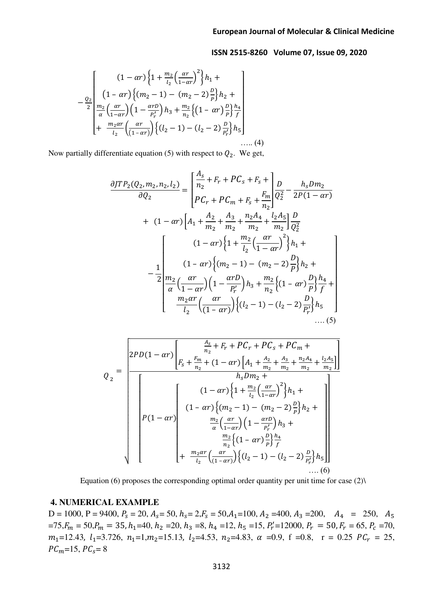$$
-\frac{0}{2}\left[\frac{(1-\alpha r)\left\{1+\frac{m_2}{l_2}\left(\frac{\alpha r}{1-\alpha r}\right)^2\right\}h_1+\right.}{\frac{m_2}{\alpha}\left[\frac{m_2}{1-\alpha r}\right]\left(n_2-1\right)-\left(m_2-2\right)\frac{p}{p}\right\}h_2+\left[\frac{m_2}{\alpha}\left(\frac{\alpha r}{1-\alpha r}\right)\left(1-\frac{\alpha r D}{p'_r}\right)h_3+\frac{m_2}{n_2}\left\{\left(1-\alpha r\right)\frac{p}{p}\right\}\frac{h_4}{f}\right]}{+\frac{m_2\alpha r}{l_2}\left(\frac{\alpha r}{(1-\alpha r)}\right)\left\{\left(l_2-1\right)-\left(l_2-2\right)\frac{p}{p'_r}\right\}h_5\right]\dots\dots(4)}
$$

Now partially differentiate equation (5) with respect to  $Q_2$ . We get,

$$
\frac{\partial JTP_{2}(Q_{2},m_{2},n_{2},l_{2})}{\partial Q_{2}} = \begin{bmatrix} \frac{A_{s}}{n_{2}} + F_{r} + PC_{s} + F_{s} + \frac{F_{m}}{n_{2}} & \frac{D}{Q_{2}^{2}} - \frac{h_{s}Dm_{2}}{2P(1 - \alpha r)} \\ PC_{r} + PC_{m} + F_{s} + \frac{F_{m}}{n_{2}} & \frac{D}{Q_{2}^{2}} - \frac{D}{2P(1 - \alpha r)} \end{bmatrix}
$$
  
+  $(1 - \alpha r) \left[A_{1} + \frac{A_{2}}{m_{2}} + \frac{A_{3}}{m_{2}} + \frac{n_{2}A_{4}}{m_{2}} + \frac{l_{2}A_{5}}{m_{2}}\right] \frac{D}{Q_{2}^{2}}$   
-  $\frac{1}{2} \left[\frac{(1 - \alpha r)\left\{1 + \frac{m_{2}}{l_{2}}\left(\frac{\alpha r}{1 - \alpha r}\right)^{2}\right\}h_{1} + \frac{(1 - \alpha r)\left\{(m_{2} - 1) - (m_{2} - 2)\frac{D}{P}\right\}h_{2} + \frac{m_{2}}{a}\left\{\frac{\alpha r}{1 - \alpha r}\right\}h_{3} + \frac{m_{2}}{n_{2}}\left\{(1 - \alpha r)\frac{D}{P}\right\} \frac{h_{4}}{f} + \frac{m_{2}}{l_{2}}\left(\frac{\alpha r}{(1 - \alpha r)}\right)\left\{(l_{2} - 1) - (l_{2} - 2)\frac{D}{P_{r}}\right\}h_{5} + \dots (5)$ 

$$
Q_{2} = \frac{\left[2PD(1 - \alpha r)\left[\frac{A_{s}}{n_{2}} + F_{r} + PC_{r} + PC_{s} + PC_{m} + \frac{A_{2}}{n_{2}} + \frac{A_{3}}{n_{2}} + \frac{n_{2}A_{4}}{n_{2}} + \frac{l_{2}A_{5}}{n_{2}}\right]\right]}{\left[ (1 - \alpha r)\left\{1 + \frac{m_{2}}{l_{2}}\left(\frac{\alpha r}{1 - \alpha r}\right)^{2}\right\}h_{1} + \frac{(1 - \alpha r)\left\{(1 - \alpha r)\left\{\frac{1 + \frac{m_{2}}{l_{2}}\left(\frac{\alpha r}{1 - \alpha r}\right)^{2}\right\}h_{2} + \frac{m_{2}}{l_{2}}\left(\frac{\alpha r}{1 - \alpha r}\right)\left(1 - \frac{\alpha rD}{P_{r}'}\right)h_{3} + \frac{m_{2}}{n_{2}}\left\{(1 - \alpha r)\frac{D}{p}\right\}\frac{h_{4}}{r_{1}} + \frac{m_{2}\alpha r}{l_{2}}\left(\frac{\alpha r}{(1 - \alpha r)}\right)\left\{(l_{2} - 1) - (l_{2} - 2)\frac{D}{P_{r}'}\right\}h_{5}\right]}{\left[ (1 - \alpha r)\left\{\frac{1}{l_{2}}\left(\frac{\alpha r}{(1 - \alpha r)}\right)^{2}\right\}h_{2} + \frac{m_{2}\alpha r}{l_{2}}\left(\frac{\alpha r}{(1 - \alpha r)}\right)\left\{(l_{2} - 1) - (l_{2} - 2)\frac{D}{P_{r}'}\right\}h_{5}\right]} \dots (6)\right]}
$$

Equation (6) proposes the corresponding optimal order quantity per unit time for case  $(2)$ 

#### **4. NUMERICAL EXAMPLE**

 $D = 1000$ ,  $P = 9400$ ,  $P_s = 20$ ,  $A_s = 50$ ,  $h_s = 2$ ,  $F_s = 50$ ,  $A_1 = 100$ ,  $A_2 = 400$ ,  $A_3 = 200$ ,  $A_4 = 250$ ,  $A_5$  $=75$ ,  $F_m = 50$ ,  $P_m = 35$ ,  $h_1 = 40$ ,  $h_2 = 20$ ,  $h_3 = 8$ ,  $h_4 = 12$ ,  $h_5 = 15$ ,  $P'_r = 12000$ ,  $P_r = 50$ ,  $F_r = 65$ ,  $P_c = 70$ ,  $m_1=12.43$ ,  $l_1=3.726$ ,  $n_1=1, m_2=15.13$ ,  $l_2=4.53$ ,  $n_2=4.83$ ,  $\alpha =0.9$ ,  $f =0.8$ ,  $r = 0.25$   $PC_r = 25$ ,  $PC_m=15, PC_s=8$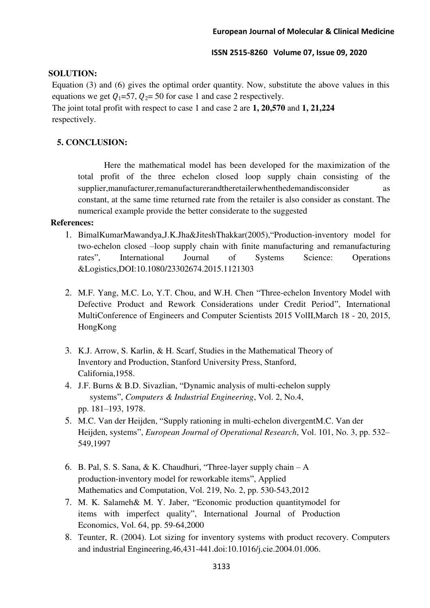### **SOLUTION:**

Equation (3) and (6) gives the optimal order quantity. Now, substitute the above values in this equations we get  $Q_1=57$ ,  $Q_2=50$  for case 1 and case 2 respectively. The joint total profit with respect to case 1 and case 2 are **1, 20,570** and **1, 21,224**  respectively.

## **5. CONCLUSION:**

Here the mathematical model has been developed for the maximization of the total profit of the three echelon closed loop supply chain consisting of the supplier,manufacturer,remanufacturerandtheretailerwhenthedemandisconsider as constant, at the same time returned rate from the retailer is also consider as constant. The numerical example provide the better considerate to the suggested

#### **References:**

- 1. BimalKumarMawandya,J.K.Jha&JiteshThakkar(2005),"Production-inventory model for two-echelon closed –loop supply chain with finite manufacturing and remanufacturing rates", International Journal of Systems Science: Operations &Logistics,DOI:10.1080/23302674.2015.1121303
- 2. M.F. Yang, M.C. Lo, Y.T. Chou, and W.H. Chen "Three-echelon Inventory Model with Defective Product and Rework Considerations under Credit Period", International MultiConference of Engineers and Computer Scientists 2015 VolII,March 18 - 20, 2015, HongKong
- 3. K.J. Arrow, S. Karlin, & H. Scarf, Studies in the Mathematical Theory of Inventory and Production, Stanford University Press, Stanford, California,1958.
- 4. J.F. Burns & B.D. Sivazlian, "Dynamic analysis of multi-echelon supply systems", *Computers & Industrial Engineering*, Vol. 2, No.4, pp. 181–193, 1978.
- 5. M.C. Van der Heijden, "Supply rationing in multi-echelon divergentM.C. Van der Heijden, systems", *European Journal of Operational Research*, Vol. 101, No. 3, pp. 532– 549,1997
- 6. B. Pal, S. S. Sana, & K. Chaudhuri, "Three-layer supply chain A production-inventory model for reworkable items", Applied Mathematics and Computation, Vol. 219, No. 2, pp. 530-543,2012
- 7. M. K. Salameh& M. Y. Jaber, "Economic production quantitymodel for items with imperfect quality", International Journal of Production Economics, Vol. 64, pp. 59-64,2000
- 8. Teunter, R. (2004). Lot sizing for inventory systems with product recovery. Computers and industrial Engineering,46,431-441.doi:10.1016/j.cie.2004.01.006.